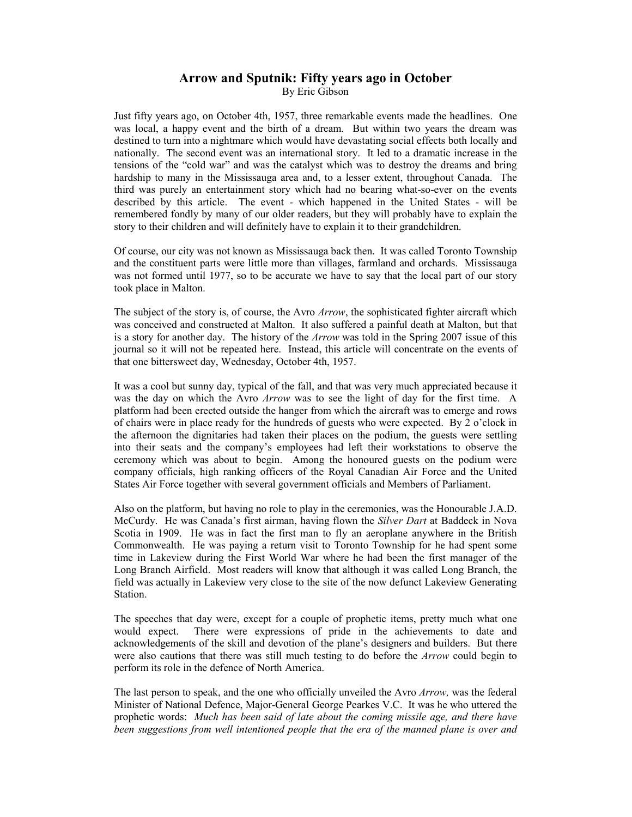## **Arrow and Sputnik: Fifty years ago in October**

By Eric Gibson

Just fifty years ago, on October 4th, 1957, three remarkable events made the headlines. One was local, a happy event and the birth of a dream. But within two years the dream was destined to turn into a nightmare which would have devastating social effects both locally and nationally. The second event was an international story. It led to a dramatic increase in the tensions of the "cold war" and was the catalyst which was to destroy the dreams and bring hardship to many in the Mississauga area and, to a lesser extent, throughout Canada. The third was purely an entertainment story which had no bearing what-so-ever on the events described by this article. The event - which happened in the United States - will be remembered fondly by many of our older readers, but they will probably have to explain the story to their children and will definitely have to explain it to their grandchildren.

Of course, our city was not known as Mississauga back then. It was called Toronto Township and the constituent parts were little more than villages, farmland and orchards. Mississauga was not formed until 1977, so to be accurate we have to say that the local part of our story took place in Malton.

The subject of the story is, of course, the Avro *Arrow*, the sophisticated fighter aircraft which was conceived and constructed at Malton. It also suffered a painful death at Malton, but that is a story for another day. The history of the *Arrow* was told in the Spring 2007 issue of this journal so it will not be repeated here. Instead, this article will concentrate on the events of that one bittersweet day, Wednesday, October 4th, 1957.

It was a cool but sunny day, typical of the fall, and that was very much appreciated because it was the day on which the Avro *Arrow* was to see the light of day for the first time. A platform had been erected outside the hanger from which the aircraft was to emerge and rows of chairs were in place ready for the hundreds of guests who were expected. By 2 o'clock in the afternoon the dignitaries had taken their places on the podium, the guests were settling into their seats and the company's employees had left their workstations to observe the ceremony which was about to begin. Among the honoured guests on the podium were company officials, high ranking officers of the Royal Canadian Air Force and the United States Air Force together with several government officials and Members of Parliament.

Also on the platform, but having no role to play in the ceremonies, was the Honourable J.A.D. McCurdy. He was Canada's first airman, having flown the *Silver Dart* at Baddeck in Nova Scotia in 1909. He was in fact the first man to fly an aeroplane anywhere in the British Commonwealth. He was paying a return visit to Toronto Township for he had spent some time in Lakeview during the First World War where he had been the first manager of the Long Branch Airfield. Most readers will know that although it was called Long Branch, the field was actually in Lakeview very close to the site of the now defunct Lakeview Generating Station.

The speeches that day were, except for a couple of prophetic items, pretty much what one would expect. There were expressions of pride in the achievements to date and acknowledgements of the skill and devotion of the plane's designers and builders. But there were also cautions that there was still much testing to do before the *Arrow* could begin to perform its role in the defence of North America.

The last person to speak, and the one who officially unveiled the Avro *Arrow,* was the federal Minister of National Defence, Major-General George Pearkes V.C. It was he who uttered the prophetic words: *Much has been said of late about the coming missile age, and there have been suggestions from well intentioned people that the era of the manned plane is over and*